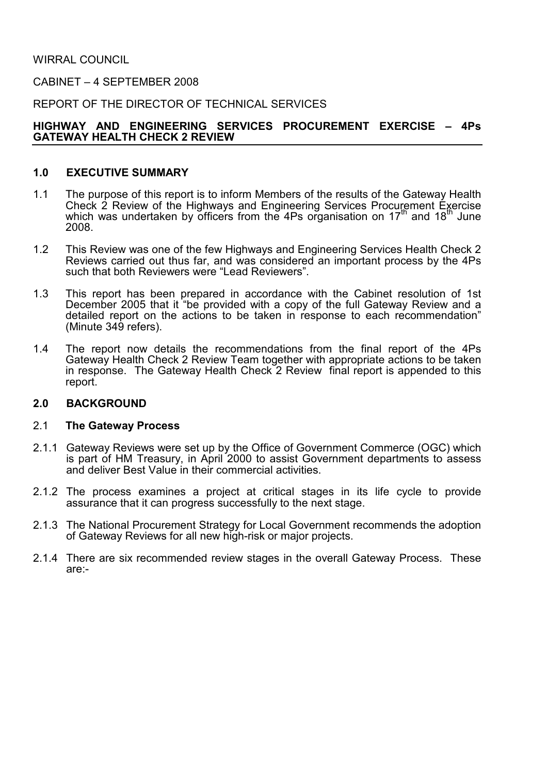WIRRAL COUNCIL

CABINET – 4 SEPTEMBER 2008

REPORT OF THE DIRECTOR OF TECHNICAL SERVICES

# HIGHWAY AND ENGINEERING SERVICES PROCUREMENT EXERCISE – 4Ps GATEWAY HEALTH CHECK 2 REVIEW

# 1.0 EXECUTIVE SUMMARY

- 1.1 The purpose of this report is to inform Members of the results of the Gateway Health Check 2 Review of the Highways and Engineering Services Procurement Exercise which was undertaken by officers from the 4Ps organisation on 17<sup>th</sup> and 18<sup>th</sup> June 2008.
- 1.2 This Review was one of the few Highways and Engineering Services Health Check 2 Reviews carried out thus far, and was considered an important process by the 4Ps such that both Reviewers were "Lead Reviewers".
- 1.3 This report has been prepared in accordance with the Cabinet resolution of 1st December 2005 that it "be provided with a copy of the full Gateway Review and a detailed report on the actions to be taken in response to each recommendation" (Minute 349 refers).
- 1.4 The report now details the recommendations from the final report of the 4Ps Gateway Health Check 2 Review Team together with appropriate actions to be taken in response. The Gateway Health Check 2 Review final report is appended to this report.

# 2.0 BACKGROUND

#### 2.1 The Gateway Process

- 2.1.1 Gateway Reviews were set up by the Office of Government Commerce (OGC) which is part of HM Treasury, in April 2000 to assist Government departments to assess and deliver Best Value in their commercial activities.
- 2.1.2 The process examines a project at critical stages in its life cycle to provide assurance that it can progress successfully to the next stage.
- 2.1.3 The National Procurement Strategy for Local Government recommends the adoption of Gateway Reviews for all new high-risk or major projects.
- 2.1.4 There are six recommended review stages in the overall Gateway Process. These are:-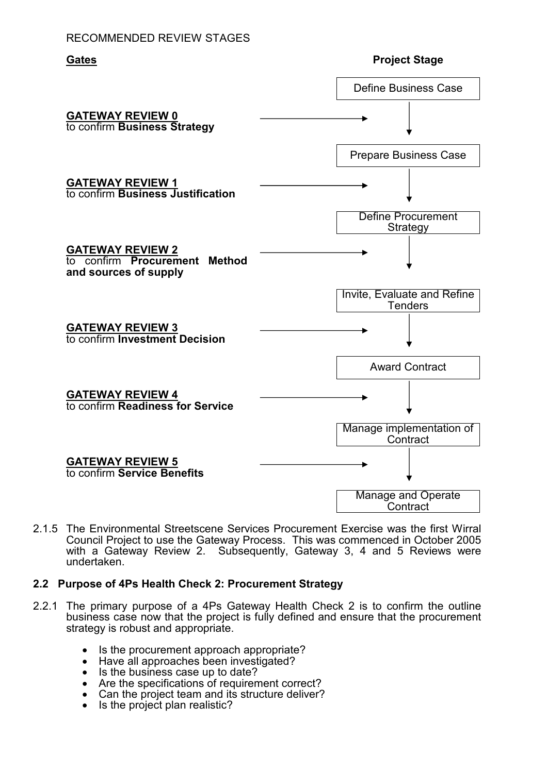# RECOMMENDED REVIEW STAGES



2.1.5 The Environmental Streetscene Services Procurement Exercise was the first Wirral Council Project to use the Gateway Process. This was commenced in October 2005 with a Gateway Review 2. Subsequently, Gateway 3, 4 and 5 Reviews were undertaken.

# 2.2 Purpose of 4Ps Health Check 2: Procurement Strategy

- 2.2.1 The primary purpose of a 4Ps Gateway Health Check 2 is to confirm the outline business case now that the project is fully defined and ensure that the procurement strategy is robust and appropriate.
	- Is the procurement approach appropriate?
	- Have all approaches been investigated?
	- Is the business case up to date?
	- Are the specifications of requirement correct?
	- Can the project team and its structure deliver?
	- Is the project plan realistic?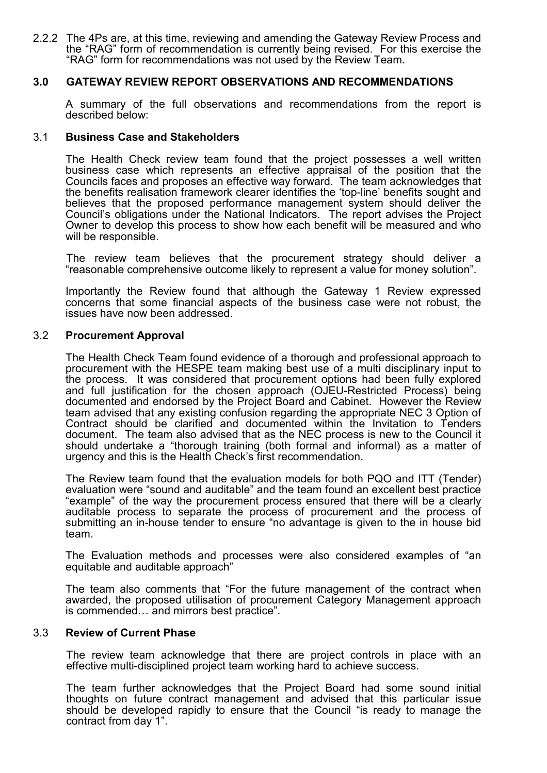2.2.2 The 4Ps are, at this time, reviewing and amending the Gateway Review Process and the "RAG" form of recommendation is currently being revised. For this exercise the "RAG" form for recommendations was not used by the Review Team.

# 3.0 GATEWAY REVIEW REPORT OBSERVATIONS AND RECOMMENDATIONS

 A summary of the full observations and recommendations from the report is described below:

#### 3.1 Business Case and Stakeholders

 The Health Check review team found that the project possesses a well written business case which represents an effective appraisal of the position that the Councils faces and proposes an effective way forward. The team acknowledges that the benefits realisation framework clearer identifies the 'top-line' benefits sought and believes that the proposed performance management system should deliver the Council's obligations under the National Indicators. The report advises the Project Owner to develop this process to show how each benefit will be measured and who will be responsible.

 The review team believes that the procurement strategy should deliver a "reasonable comprehensive outcome likely to represent a value for money solution".

 Importantly the Review found that although the Gateway 1 Review expressed concerns that some financial aspects of the business case were not robust, the issues have now been addressed.

#### 3.2 Procurement Approval

 The Health Check Team found evidence of a thorough and professional approach to procurement with the HESPE team making best use of a multi disciplinary input to the process. It was considered that procurement options had been fully explored and full justification for the chosen approach (OJEU-Restricted Process) being documented and endorsed by the Project Board and Cabinet. However the Review team advised that any existing confusion regarding the appropriate NEC 3 Option of Contract should be clarified and documented within the Invitation to Tenders document. The team also advised that as the NEC process is new to the Council it should undertake a "thorough training (both formal and informal) as a matter of urgency and this is the Health Check's first recommendation.

 The Review team found that the evaluation models for both PQO and ITT (Tender) evaluation were "sound and auditable" and the team found an excellent best practice "example" of the way the procurement process ensured that there will be a clearly auditable process to separate the process of procurement and the process of submitting an in-house tender to ensure "no advantage is given to the in house bid team.

 The Evaluation methods and processes were also considered examples of "an equitable and auditable approach"

 The team also comments that "For the future management of the contract when awarded, the proposed utilisation of procurement Category Management approach is commended… and mirrors best practice".

#### 3.3 Review of Current Phase

The review team acknowledge that there are project controls in place with an effective multi-disciplined project team working hard to achieve success.

 The team further acknowledges that the Project Board had some sound initial thoughts on future contract management and advised that this particular issue should be developed rapidly to ensure that the Council "is ready to manage the contract from day 1".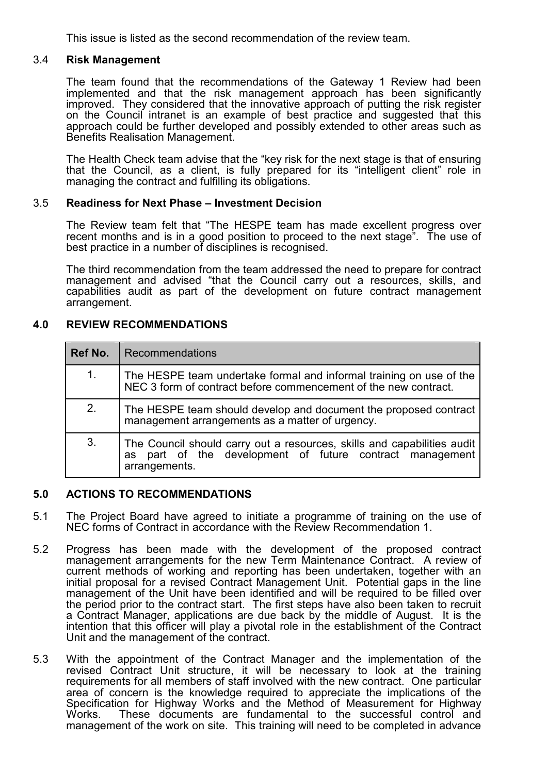This issue is listed as the second recommendation of the review team.

# 3.4 Risk Management

 The team found that the recommendations of the Gateway 1 Review had been implemented and that the risk management approach has been significantly improved. They considered that the innovative approach of putting the risk register on the Council intranet is an example of best practice and suggested that this approach could be further developed and possibly extended to other areas such as Benefits Realisation Management.

 The Health Check team advise that the "key risk for the next stage is that of ensuring that the Council, as a client, is fully prepared for its "intelligent client" role in managing the contract and fulfilling its obligations.

# 3.5 Readiness for Next Phase – Investment Decision

 The Review team felt that "The HESPE team has made excellent progress over recent months and is in a good position to proceed to the next stage". The use of best practice in a number of disciplines is recognised.

 The third recommendation from the team addressed the need to prepare for contract management and advised "that the Council carry out a resources, skills, and capabilities audit as part of the development on future contract management arrangement.

# 4.0 REVIEW RECOMMENDATIONS

| Ref No. | Recommendations                                                                                                                                      |
|---------|------------------------------------------------------------------------------------------------------------------------------------------------------|
| 1.      | The HESPE team undertake formal and informal training on use of the<br>NEC 3 form of contract before commencement of the new contract.               |
| 2.      | The HESPE team should develop and document the proposed contract<br>management arrangements as a matter of urgency.                                  |
| 3.      | The Council should carry out a resources, skills and capabilities audit<br>as part of the development of future contract management<br>arrangements. |

# 5.0 ACTIONS TO RECOMMENDATIONS

- 5.1 The Project Board have agreed to initiate a programme of training on the use of NEC forms of Contract in accordance with the Review Recommendation 1.
- 5.2 Progress has been made with the development of the proposed contract management arrangements for the new Term Maintenance Contract. A review of current methods of working and reporting has been undertaken, together with an initial proposal for a revised Contract Management Unit. Potential gaps in the line management of the Unit have been identified and will be required to be filled over the period prior to the contract start. The first steps have also been taken to recruit a Contract Manager, applications are due back by the middle of August. It is the intention that this officer will play a pivotal role in the establishment of the Contract Unit and the management of the contract.
- 5.3 With the appointment of the Contract Manager and the implementation of the revised Contract Unit structure, it will be necessary to look at the training requirements for all members of staff involved with the new contract. One particular area of concern is the knowledge required to appreciate the implications of the Specification for Highway Works and the Method of Measurement for Highway Works. These documents are fundamental to the successful control and These documents are fundamental to the successful control and management of the work on site. This training will need to be completed in advance